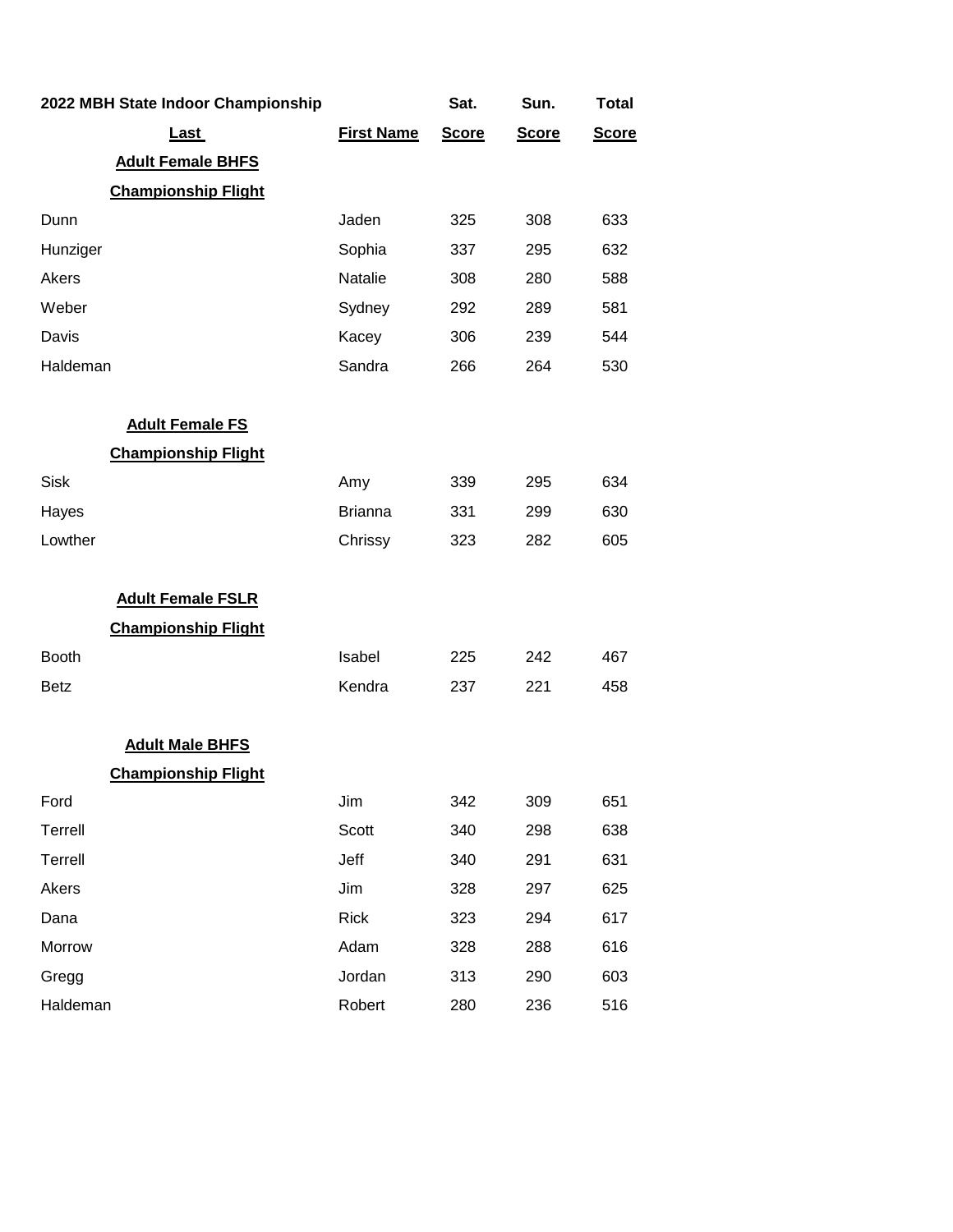| 2022 MBH State Indoor Championship |                   | Sat.         | Sun.         | <b>Total</b> |
|------------------------------------|-------------------|--------------|--------------|--------------|
| <u>Last</u>                        | <b>First Name</b> | <b>Score</b> | <b>Score</b> | <b>Score</b> |
| <b>Adult Female BHFS</b>           |                   |              |              |              |
| <b>Championship Flight</b>         |                   |              |              |              |
| Dunn                               | Jaden             | 325          | 308          | 633          |
| Hunziger                           | Sophia            | 337          | 295          | 632          |
| Akers                              | Natalie           | 308          | 280          | 588          |
| Weber                              | Sydney            | 292          | 289          | 581          |
| Davis                              | Kacey             | 306          | 239          | 544          |
| Haldeman                           | Sandra            | 266          | 264          | 530          |
| <b>Adult Female FS</b>             |                   |              |              |              |
| <b>Championship Flight</b>         |                   |              |              |              |
| <b>Sisk</b>                        | Amy               | 339          | 295          | 634          |
| Hayes                              | <b>Brianna</b>    | 331          | 299          | 630          |
| Lowther                            | Chrissy           | 323          | 282          | 605          |
| <b>Adult Female FSLR</b>           |                   |              |              |              |
| <b>Championship Flight</b>         |                   |              |              |              |
| <b>Booth</b>                       | Isabel            | 225          | 242          | 467          |
| <b>Betz</b>                        | Kendra            | 237          | 221          | 458          |
| <b>Adult Male BHFS</b>             |                   |              |              |              |
| <b>Championship Flight</b>         |                   |              |              |              |
| Ford                               | Jim               | 342          | 309          | 651          |
| Terrell                            | Scott             | 340          | 298          | 638          |
| Terrell                            | Jeff              | 340          | 291          | 631          |
| Akers                              | Jim               | 328          | 297          | 625          |
| Dana                               | <b>Rick</b>       | 323          | 294          | 617          |
| Morrow                             | Adam              | 328          | 288          | 616          |
| Gregg                              | Jordan            | 313          | 290          | 603          |
| Haldeman                           | Robert            | 280          | 236          | 516          |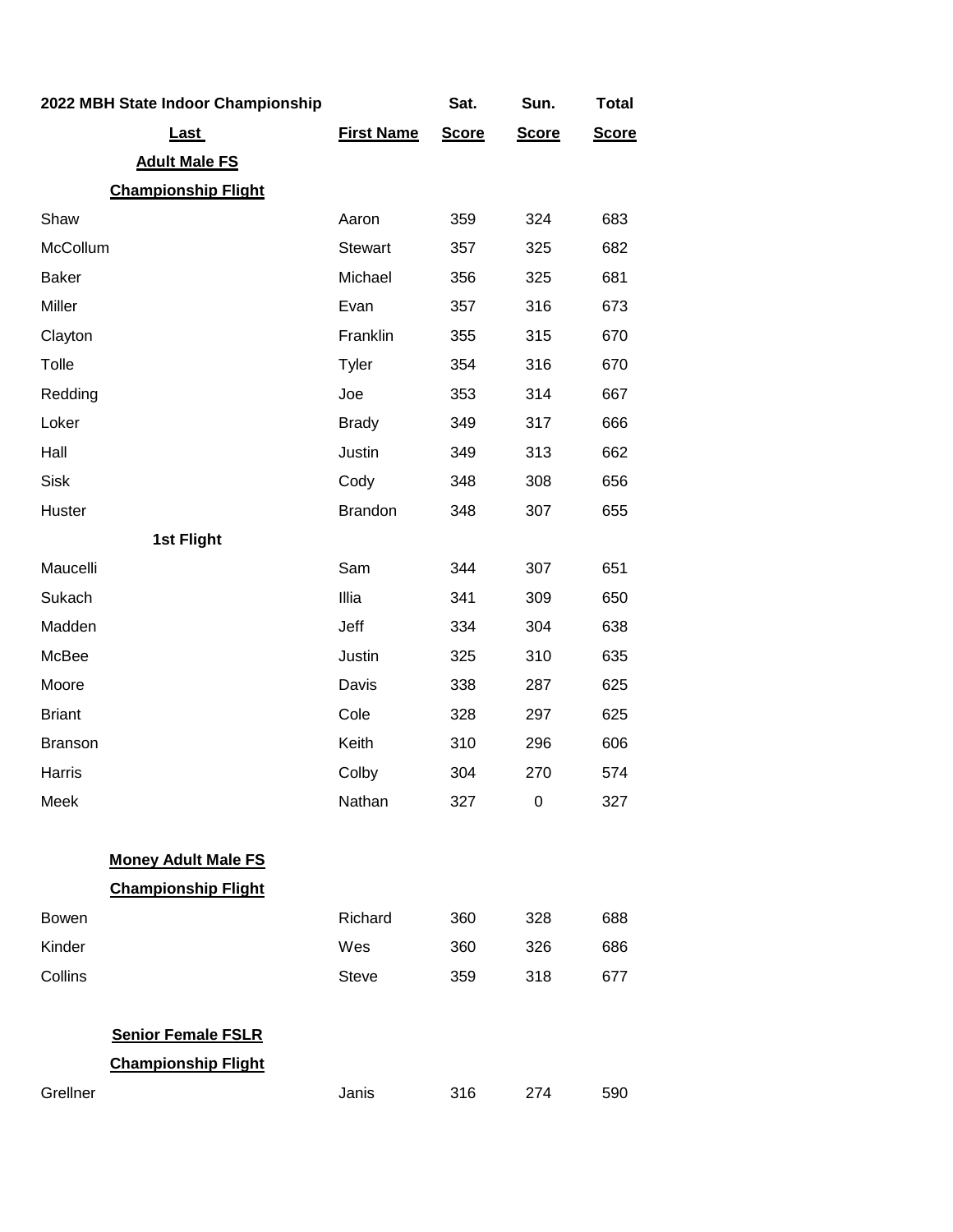| 2022 MBH State Indoor Championship |                   | Sat.         | Sun.         | <b>Total</b> |
|------------------------------------|-------------------|--------------|--------------|--------------|
| Last                               | <b>First Name</b> | <b>Score</b> | <b>Score</b> | <b>Score</b> |
| <b>Adult Male FS</b>               |                   |              |              |              |
| <b>Championship Flight</b>         |                   |              |              |              |
| Shaw                               | Aaron             | 359          | 324          | 683          |
| McCollum                           | <b>Stewart</b>    | 357          | 325          | 682          |
| <b>Baker</b>                       | Michael           | 356          | 325          | 681          |
| Miller                             | Evan              | 357          | 316          | 673          |
| Clayton                            | Franklin          | 355          | 315          | 670          |
| Tolle                              | Tyler             | 354          | 316          | 670          |
| Redding                            | Joe               | 353          | 314          | 667          |
| Loker                              | <b>Brady</b>      | 349          | 317          | 666          |
| Hall                               | Justin            | 349          | 313          | 662          |
| <b>Sisk</b>                        | Cody              | 348          | 308          | 656          |
| Huster                             | <b>Brandon</b>    | 348          | 307          | 655          |
| 1st Flight                         |                   |              |              |              |
| Maucelli                           | Sam               | 344          | 307          | 651          |
| Sukach                             | Illia             | 341          | 309          | 650          |
| Madden                             | Jeff              | 334          | 304          | 638          |
| McBee                              | Justin            | 325          | 310          | 635          |
| Moore                              | Davis             | 338          | 287          | 625          |
| <b>Briant</b>                      | Cole              | 328          | 297          | 625          |
| <b>Branson</b>                     | Keith             | 310          | 296          | 606          |
| Harris                             | Colby             | 304          | 270          | 574          |
| Meek                               | Nathan            | 327          | 0            | 327          |
| <b>Money Adult Male FS</b>         |                   |              |              |              |
| <b>Championship Flight</b>         |                   |              |              |              |
| <b>Bowen</b>                       | Richard           | 360          | 328          | 688          |
| Kinder                             | Wes               | 360          | 326          | 686          |
| Collins                            | <b>Steve</b>      | 359          | 318          | 677          |
| <b>Senior Female FSLR</b>          |                   |              |              |              |
| <b>Championship Flight</b>         |                   |              |              |              |
| Grellner                           | Janis             | 316          | 274          | 590          |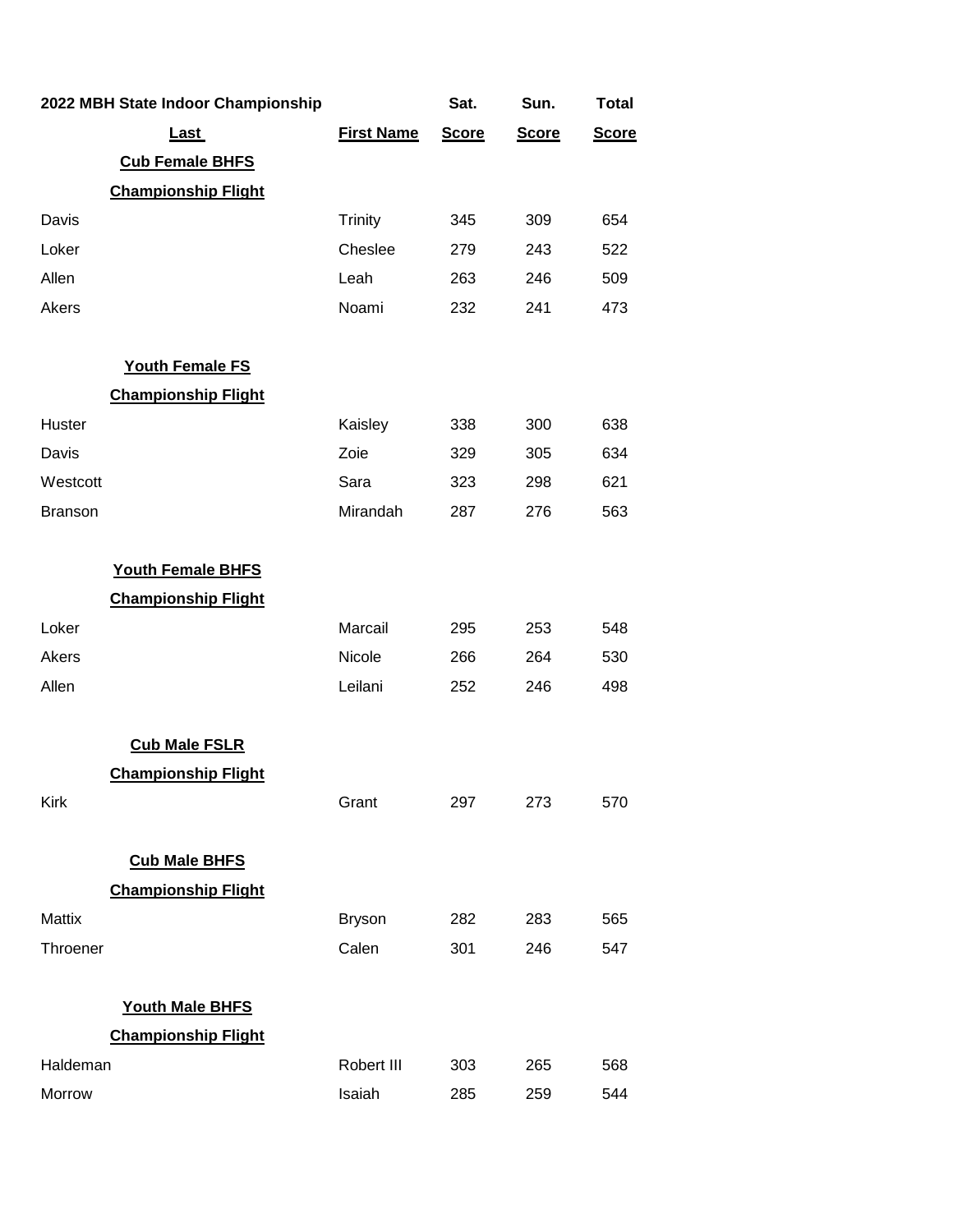|                | 2022 MBH State Indoor Championship |                   | Sat.         | Sun.         | <b>Total</b> |
|----------------|------------------------------------|-------------------|--------------|--------------|--------------|
|                | <b>Last</b>                        | <b>First Name</b> | <b>Score</b> | <b>Score</b> | <b>Score</b> |
|                | <b>Cub Female BHFS</b>             |                   |              |              |              |
|                | <b>Championship Flight</b>         |                   |              |              |              |
| Davis          |                                    | <b>Trinity</b>    | 345          | 309          | 654          |
| Loker          |                                    | Cheslee           | 279          | 243          | 522          |
| Allen          |                                    | Leah              | 263          | 246          | 509          |
| Akers          |                                    | Noami             | 232          | 241          | 473          |
|                | <b>Youth Female FS</b>             |                   |              |              |              |
|                | <b>Championship Flight</b>         |                   |              |              |              |
| Huster         |                                    | Kaisley           | 338          | 300          | 638          |
| Davis          |                                    | Zoie              | 329          | 305          | 634          |
| Westcott       |                                    | Sara              | 323          | 298          | 621          |
| <b>Branson</b> |                                    | Mirandah          | 287          | 276          | 563          |
|                | <b>Youth Female BHFS</b>           |                   |              |              |              |
|                | <b>Championship Flight</b>         |                   |              |              |              |
| Loker          |                                    | Marcail           | 295          | 253          | 548          |
| Akers          |                                    | Nicole            | 266          | 264          | 530          |
| Allen          |                                    | Leilani           | 252          | 246          | 498          |
|                | <b>Cub Male FSLR</b>               |                   |              |              |              |
|                | <b>Championship Flight</b>         |                   |              |              |              |
| Kirk           |                                    | Grant             | 297          | 273          | 570          |
|                | <b>Cub Male BHFS</b>               |                   |              |              |              |
|                | <b>Championship Flight</b>         |                   |              |              |              |
| Mattix         |                                    | <b>Bryson</b>     | 282          | 283          | 565          |
| Throener       |                                    | Calen             | 301          | 246          | 547          |
|                | <b>Youth Male BHFS</b>             |                   |              |              |              |
|                | <b>Championship Flight</b>         |                   |              |              |              |
| Haldeman       |                                    | Robert III        | 303          | 265          | 568          |
| Morrow         |                                    | Isaiah            | 285          | 259          | 544          |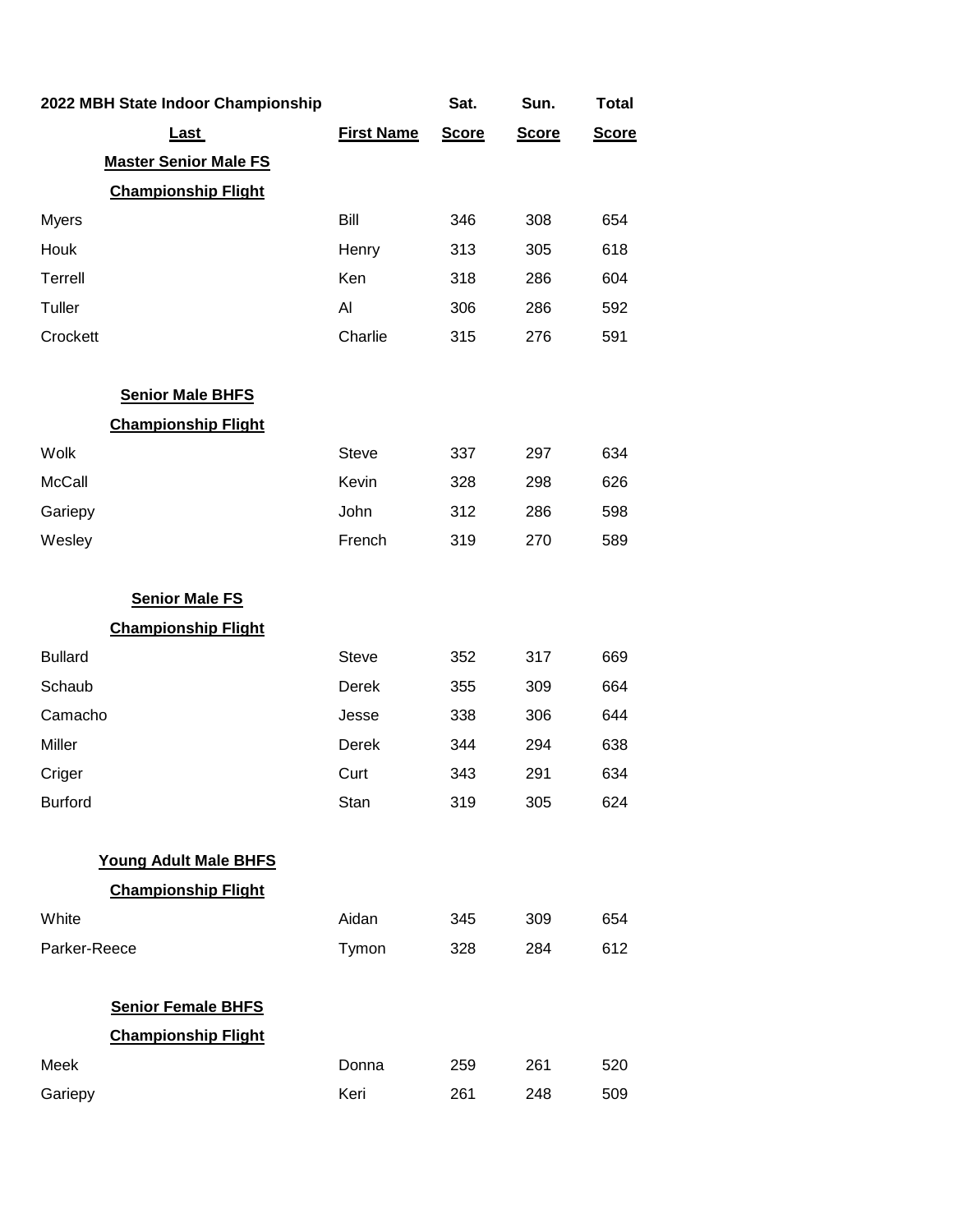| 2022 MBH State Indoor Championship |                   | Sat.         | Sun.         | <b>Total</b> |
|------------------------------------|-------------------|--------------|--------------|--------------|
| <u>Last</u>                        | <b>First Name</b> | <b>Score</b> | <b>Score</b> | <b>Score</b> |
| <b>Master Senior Male FS</b>       |                   |              |              |              |
| <b>Championship Flight</b>         |                   |              |              |              |
| <b>Myers</b>                       | Bill              | 346          | 308          | 654          |
| Houk                               | Henry             | 313          | 305          | 618          |
| Terrell                            | Ken               | 318          | 286          | 604          |
| Tuller                             | Al                | 306          | 286          | 592          |
| Crockett                           | Charlie           | 315          | 276          | 591          |
| <b>Senior Male BHFS</b>            |                   |              |              |              |
| <b>Championship Flight</b>         |                   |              |              |              |
| Wolk                               | <b>Steve</b>      | 337          | 297          | 634          |
| <b>McCall</b>                      | Kevin             | 328          | 298          | 626          |
| Gariepy                            | John              | 312          | 286          | 598          |
| Wesley                             | French            | 319          | 270          | 589          |
| <b>Senior Male FS</b>              |                   |              |              |              |
| <b>Championship Flight</b>         |                   |              |              |              |
| <b>Bullard</b>                     | <b>Steve</b>      | 352          | 317          | 669          |
| Schaub                             | Derek             | 355          | 309          | 664          |
| Camacho                            | Jesse             | 338          | 306          | 644          |
| Miller                             | Derek             | 344          | 294          | 638          |
| Criger                             | Curt              | 343          | 291          | 634          |
| <b>Burford</b>                     | Stan              | 319          | 305          | 624          |
| <b>Young Adult Male BHFS</b>       |                   |              |              |              |
| <b>Championship Flight</b>         |                   |              |              |              |
| White                              | Aidan             | 345          | 309          | 654          |
| Parker-Reece                       | Tymon             | 328          | 284          | 612          |
| <b>Senior Female BHFS</b>          |                   |              |              |              |
| <b>Championship Flight</b>         |                   |              |              |              |
| Meek                               | Donna             | 259          | 261          | 520          |
| Gariepy                            | Keri              | 261          | 248          | 509          |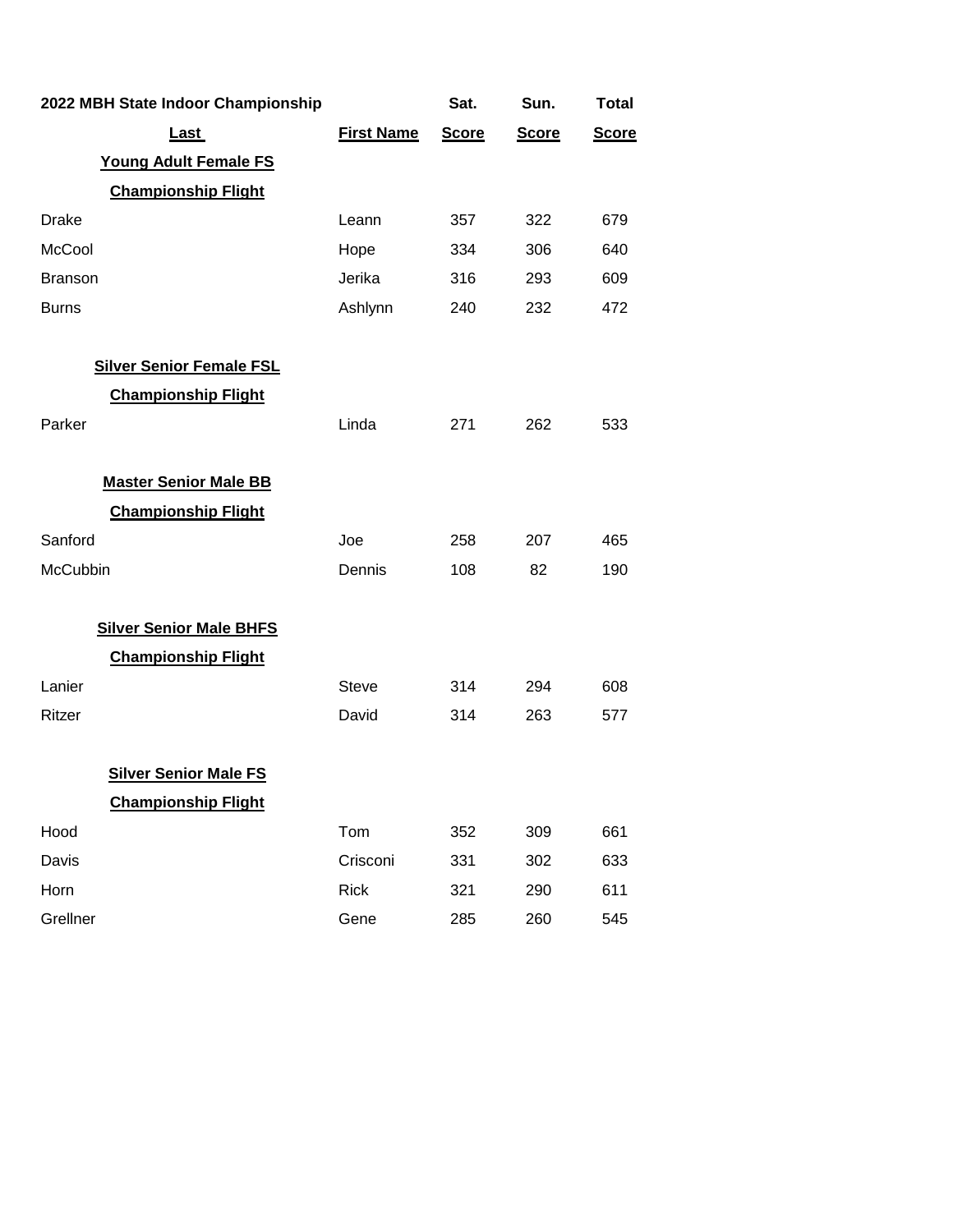| 2022 MBH State Indoor Championship |                   | Sat.         | Sun.         | <b>Total</b> |
|------------------------------------|-------------------|--------------|--------------|--------------|
| <u>Last</u>                        | <b>First Name</b> | <b>Score</b> | <b>Score</b> | <b>Score</b> |
| <b>Young Adult Female FS</b>       |                   |              |              |              |
| <b>Championship Flight</b>         |                   |              |              |              |
| <b>Drake</b>                       | Leann             | 357          | 322          | 679          |
| McCool                             | Hope              | 334          | 306          | 640          |
| <b>Branson</b>                     | Jerika            | 316          | 293          | 609          |
| <b>Burns</b>                       | Ashlynn           | 240          | 232          | 472          |
| <b>Silver Senior Female FSL</b>    |                   |              |              |              |
| <b>Championship Flight</b>         |                   |              |              |              |
| Parker                             | Linda             | 271          | 262          | 533          |
| <b>Master Senior Male BB</b>       |                   |              |              |              |
| <b>Championship Flight</b>         |                   |              |              |              |
| Sanford                            | Joe               | 258          | 207          | 465          |
| <b>McCubbin</b>                    | Dennis            | 108          | 82           | 190          |
| <b>Silver Senior Male BHFS</b>     |                   |              |              |              |
| <b>Championship Flight</b>         |                   |              |              |              |
| Lanier                             | <b>Steve</b>      | 314          | 294          | 608          |
| Ritzer                             | David             | 314          | 263          | 577          |
| <b>Silver Senior Male FS</b>       |                   |              |              |              |
| <b>Championship Flight</b>         |                   |              |              |              |
| Hood                               | Tom               | 352          | 309          | 661          |
| Davis                              | Crisconi          | 331          | 302          | 633          |
| Horn                               | <b>Rick</b>       | 321          | 290          | 611          |
| Grellner                           | Gene              | 285          | 260          | 545          |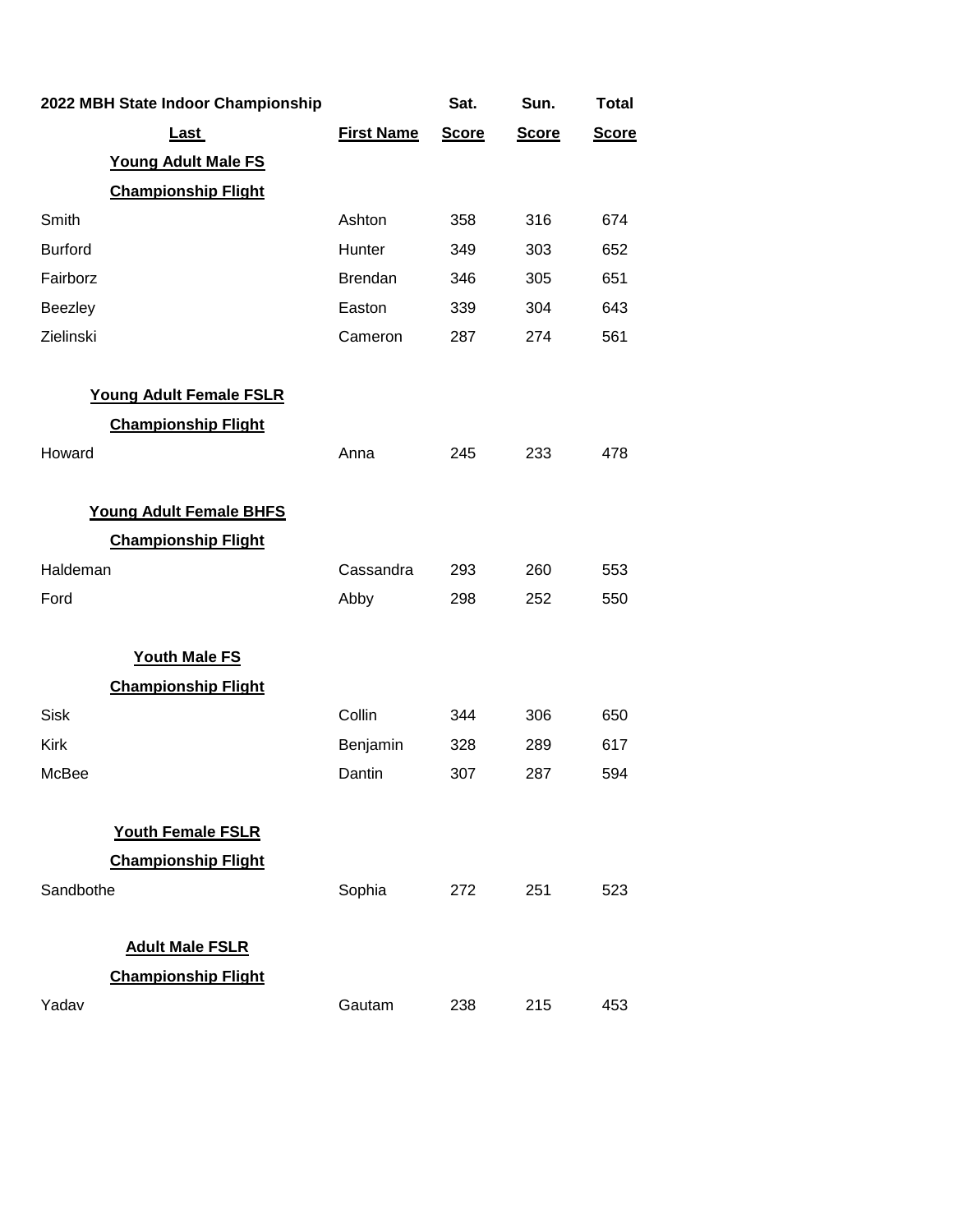|                | 2022 MBH State Indoor Championship |                   | Sat.         | Sun.         | <b>Total</b> |
|----------------|------------------------------------|-------------------|--------------|--------------|--------------|
|                | Last                               | <b>First Name</b> | <b>Score</b> | <b>Score</b> | <b>Score</b> |
|                | <b>Young Adult Male FS</b>         |                   |              |              |              |
|                | <b>Championship Flight</b>         |                   |              |              |              |
| Smith          |                                    | Ashton            | 358          | 316          | 674          |
| <b>Burford</b> |                                    | Hunter            | 349          | 303          | 652          |
| Fairborz       |                                    | <b>Brendan</b>    | 346          | 305          | 651          |
| Beezley        |                                    | Easton            | 339          | 304          | 643          |
| Zielinski      |                                    | Cameron           | 287          | 274          | 561          |
|                | Young Adult Female FSLR            |                   |              |              |              |
|                | <b>Championship Flight</b>         |                   |              |              |              |
| Howard         |                                    | Anna              | 245          | 233          | 478          |
|                | <b>Young Adult Female BHFS</b>     |                   |              |              |              |
|                | <b>Championship Flight</b>         |                   |              |              |              |
| Haldeman       |                                    | Cassandra         | 293          | 260          | 553          |
| Ford           |                                    | Abby              | 298          | 252          | 550          |
|                | <b>Youth Male FS</b>               |                   |              |              |              |
|                | <b>Championship Flight</b>         |                   |              |              |              |
| <b>Sisk</b>    |                                    | Collin            | 344          | 306          | 650          |
| Kirk           |                                    | Benjamin          | 328          | 289          | 617          |
| McBee          |                                    | Dantin            | 307          | 287          | 594          |
|                | <b>Youth Female FSLR</b>           |                   |              |              |              |
|                | <b>Championship Flight</b>         |                   |              |              |              |
| Sandbothe      |                                    | Sophia            | 272          | 251          | 523          |
|                | <b>Adult Male FSLR</b>             |                   |              |              |              |
|                | <b>Championship Flight</b>         |                   |              |              |              |
| Yadav          |                                    | Gautam            | 238          | 215          | 453          |